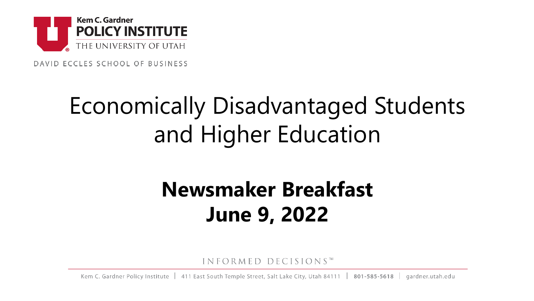

DAVID ECCLES SCHOOL OF BUSINESS

# Economically Disadvantaged Students and Higher Education

# **Newsmaker Breakfast June 9, 2022**

INFORMED DECISIONS™

Kem C. Gardner Policy Institute | 411 East South Temple Street, Salt Lake City, Utah 84111 | 801-585-5618 | gardner.utah.edu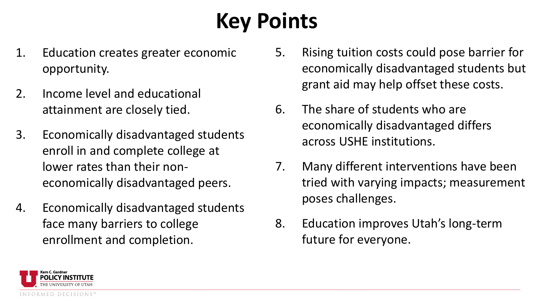# **Key Points**

- 1. Education creates greater economic opportunity.
- 2. Income level and educational attainment are closely tied.
- 3. Economically disadvantaged students enroll in and complete college at lower rates than their noneconomically disadvantaged peers.
- 4. Economically disadvantaged students face many barriers to college enrollment and completion.
- 5. Rising tuition costs could pose barrier for economically disadvantaged students but grant aid may help offset these costs.
- 6. The share of students who are economically disadvantaged differs across USHE institutions.
- 7. Many different interventions have been tried with varying impacts; measurement poses challenges.
- 8. Education improves Utah's long-term future for everyone.

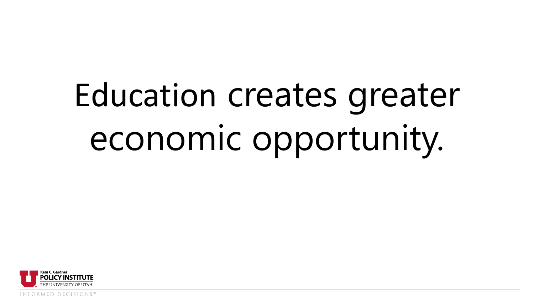# Education creates greater economic opportunity.



INFORMED DECISIONS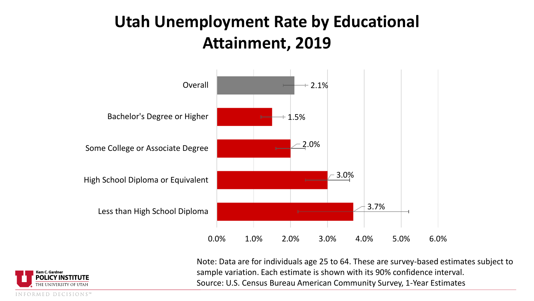## **Utah Unemployment Rate by Educational Attainment, 2019**



Note: Data are for individuals age 25 to 64. These are survey-based estimates subject to sample variation. Each estimate is shown with its 90% confidence interval. Source: U.S. Census Bureau American Community Survey, 1-Year Estimates

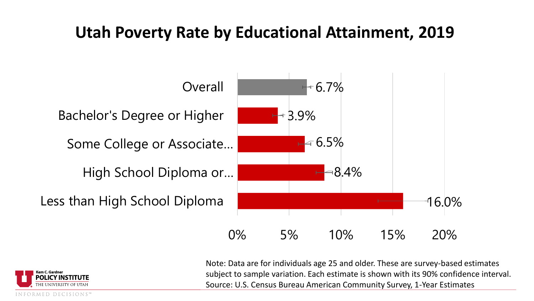### **Utah Poverty Rate by Educational Attainment, 2019**



Note: Data are for individuals age 25 and older. These are survey-based estimates subject to sample variation. Each estimate is shown with its 90% confidence interval. Source: U.S. Census Bureau American Community Survey, 1-Year Estimates



MED DECISIONS"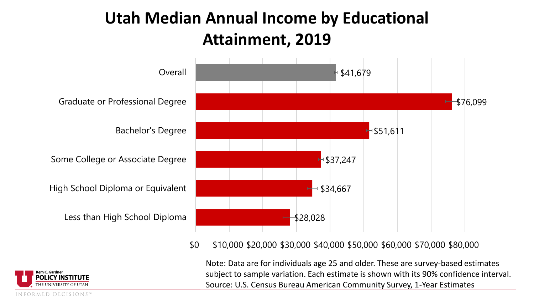## **Utah Median Annual Income by Educational Attainment, 2019**



#### \$0 \$10,000 \$20,000 \$30,000 \$40,000 \$50,000 \$60,000 \$70,000 \$80,000

INFORMED DECISIONS"

Note: Data are for individuals age 25 and older. These are survey-based estimates subject to sample variation. Each estimate is shown with its 90% confidence interval. Source: U.S. Census Bureau American Community Survey, 1-Year Estimates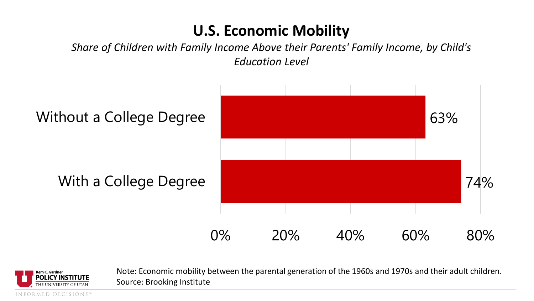### **U.S. Economic Mobility**

*Share of Children with Family Income Above their Parents' Family Income, by Child's Education Level*





Note: Economic mobility between the parental generation of the 1960s and 1970s and their adult children. Source: Brooking Institute

INFORMED DECISIONS"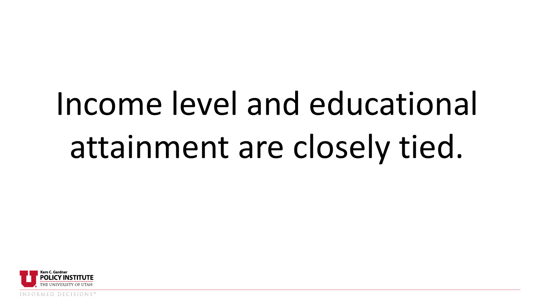# Income level and educational attainment are closely tied.

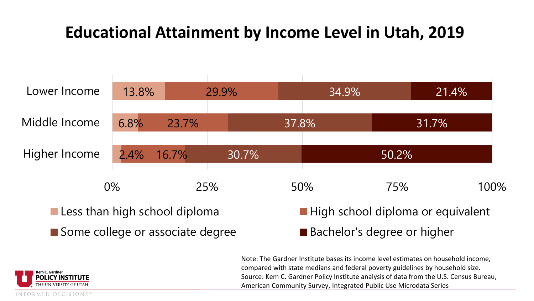## **Educational Attainment by Income Level in Utah, 2019**



Note: The Gardner Institute bases its income level estimates on household income, compared with state medians and federal poverty guidelines by household size. Source: Kem C. Gardner Policy Institute analysis of data from the U.S. Census Bureau, American Community Survey, Integrated Public Use Microdata Series

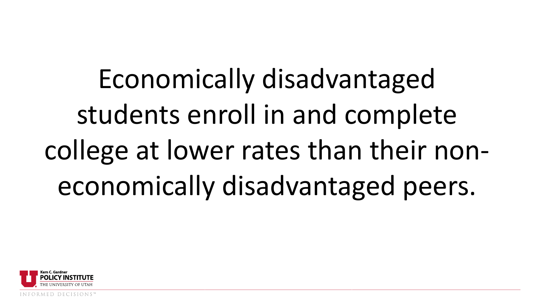Economically disadvantaged students enroll in and complete college at lower rates than their noneconomically disadvantaged peers.

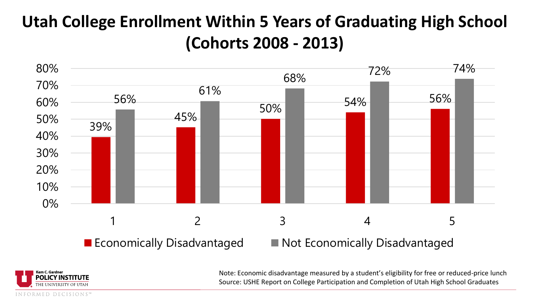# **Utah College Enrollment Within 5 Years of Graduating High School (Cohorts 2008 - 2013)**



Kem C. Gardneı **POLICY INSTITUTE** INFORMED DECISIONS" Note: Economic disadvantage measured by a student's eligibility for free or reduced-price lunch Source: USHE Report on College Participation and Completion of Utah High School Graduates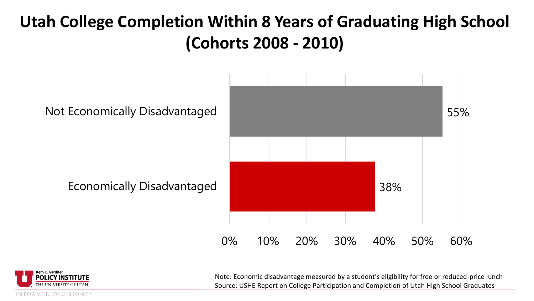## **Utah College Completion Within 8 Years of Graduating High School (Cohorts 2008 - 2010)**



Note: Economic disadvantage measured by a student's eligibility for free or reduced-price lunch Source: USHE Report on College Participation and Completion of Utah High School Graduates

INFORMED DECISIONS"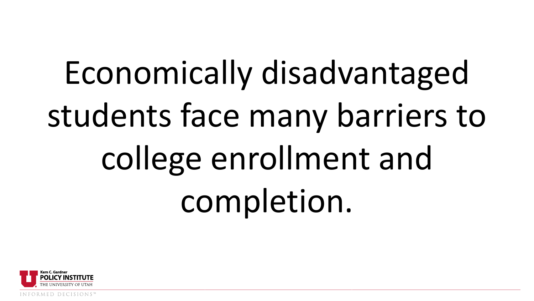Economically disadvantaged students face many barriers to college enrollment and completion.

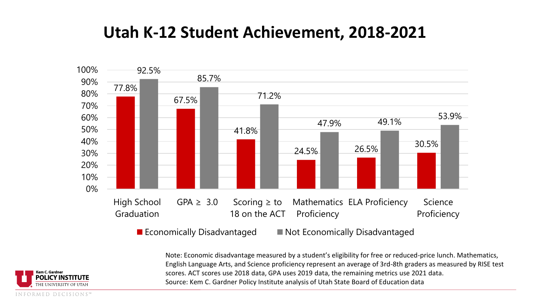### **Utah K-12 Student Achievement, 2018-2021**



Note: Economic disadvantage measured by a student's eligibility for free or reduced-price lunch. Mathematics, English Language Arts, and Science proficiency represent an average of 3rd-8th graders as measured by RISE test scores. ACT scores use 2018 data, GPA uses 2019 data, the remaining metrics use 2021 data. Source: Kem C. Gardner Policy Institute analysis of Utah State Board of Education data

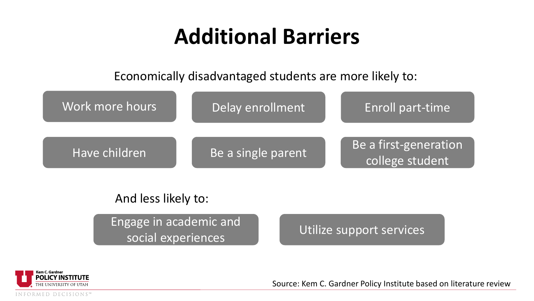# **Additional Barriers**

Economically disadvantaged students are more likely to:



#### And less likely to:

Engage in academic and social experiences

Utilize support services



Source: Kem C. Gardner Policy Institute based on literature review

INFORMED DECISIONS"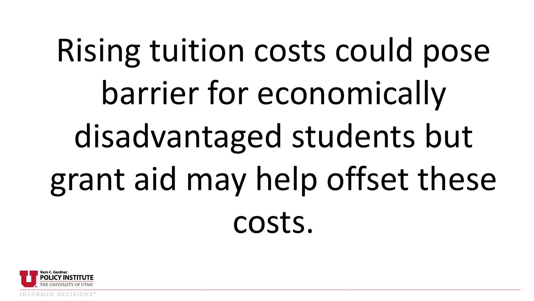# Rising tuition costs could pose barrier for economically disadvantaged students but grant aid may help offset these costs.



D DECISIONS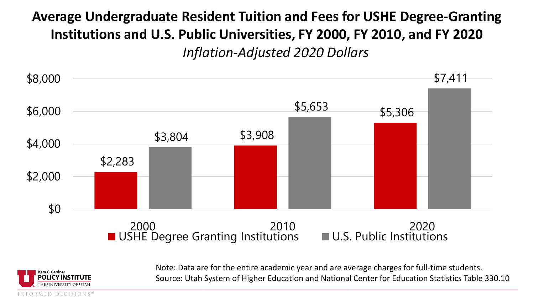### **Average Undergraduate Resident Tuition and Fees for USHE Degree-Granting Institutions and U.S. Public Universities, FY 2000, FY 2010, and FY 2020** *Inflation-Adjusted 2020 Dollars*



Note: Data are for the entire academic year and are average charges for full-time students. Source: Utah System of Higher Education and National Center for Education Statistics Table 330.10

ED DECISIONS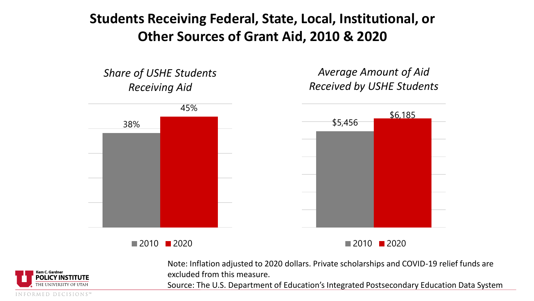#### **Students Receiving Federal, State, Local, Institutional, or Other Sources of Grant Aid, 2010 & 2020**

*Share of USHE Students Receiving Aid*

*Average Amount of Aid Received by USHE Students*



 $\blacksquare$  2010  $\blacksquare$  2020

 $\blacksquare$  2010  $\blacksquare$  2020



Note: Inflation adjusted to 2020 dollars. Private scholarships and COVID-19 relief funds are excluded from this measure.

Source: The U.S. Department of Education's Integrated Postsecondary Education Data System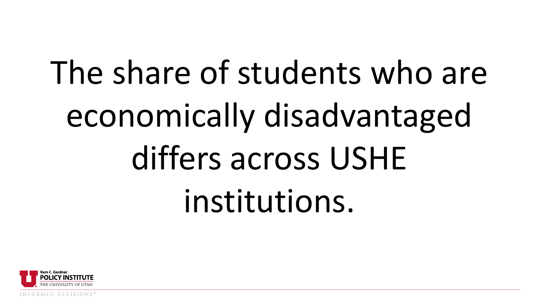# The share of students who are economically disadvantaged differs across USHE institutions.

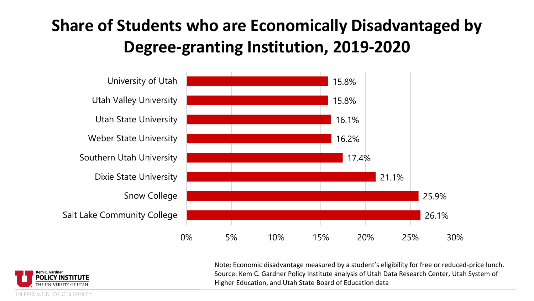# **Share of Students who are Economically Disadvantaged by Degree-granting Institution, 2019-2020**



Note: Economic disadvantage measured by a student's eligibility for free or reduced-price lunch. Source: Kem C. Gardner Policy Institute analysis of Utah Data Research Center, Utah System of Higher Education, and Utah State Board of Education data

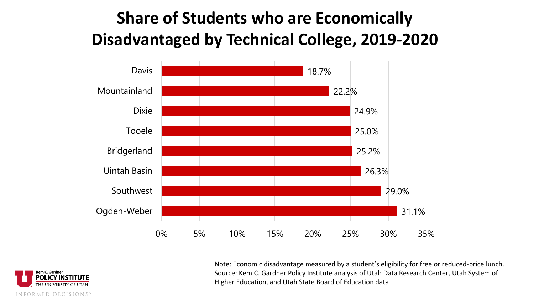# **Share of Students who are Economically Disadvantaged by Technical College, 2019-2020**



Note: Economic disadvantage measured by a student's eligibility for free or reduced-price lunch. Source: Kem C. Gardner Policy Institute analysis of Utah Data Research Center, Utah System of Higher Education, and Utah State Board of Education data

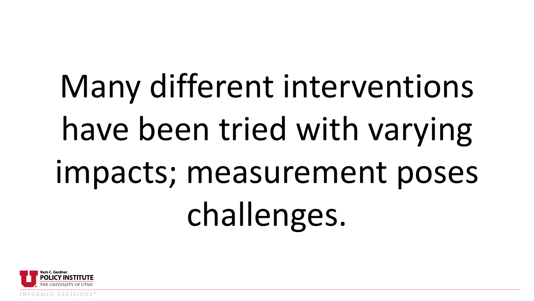# Many different interventions have been tried with varying impacts; measurement poses challenges.

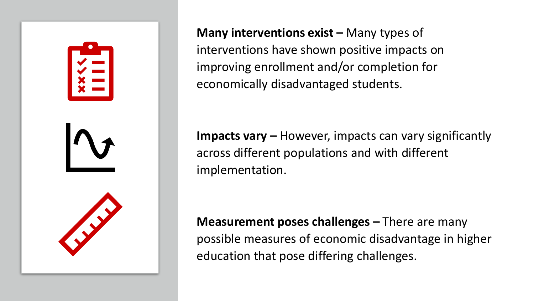

**Many interventions exist – Many types of** interventions have shown positive impacts on improving enrollment and/or completion for economically disadvantaged students.

**Impacts vary –** However, impacts can vary significantly across different populations and with different implementation.

**Measurement poses challenges –** There are many possible measures of economic disadvantage in higher education that pose differing challenges.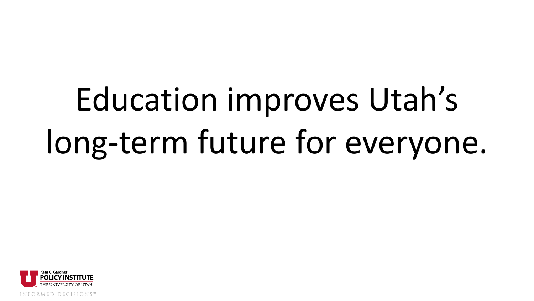# Education improves Utah's long-term future for everyone.



INFORMED DECISIONS.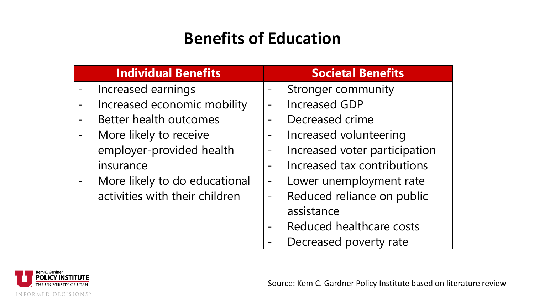## **Benefits of Education**

| <b>Individual Benefits</b>     | <b>Societal Benefits</b>                     |
|--------------------------------|----------------------------------------------|
| Increased earnings             | Stronger community                           |
| Increased economic mobility    | <b>Increased GDP</b>                         |
| Better health outcomes         | Decreased crime                              |
| More likely to receive         | Increased volunteering                       |
| employer-provided health       | Increased voter participation                |
| insurance                      | Increased tax contributions                  |
| More likely to do educational  | Lower unemployment rate<br>$\qquad \qquad -$ |
| activities with their children | Reduced reliance on public                   |
|                                | assistance                                   |
|                                | Reduced healthcare costs                     |
|                                | Decreased poverty rate                       |



Source: Kem C. Gardner Policy Institute based on literature review

INFORMED DECISIONS™